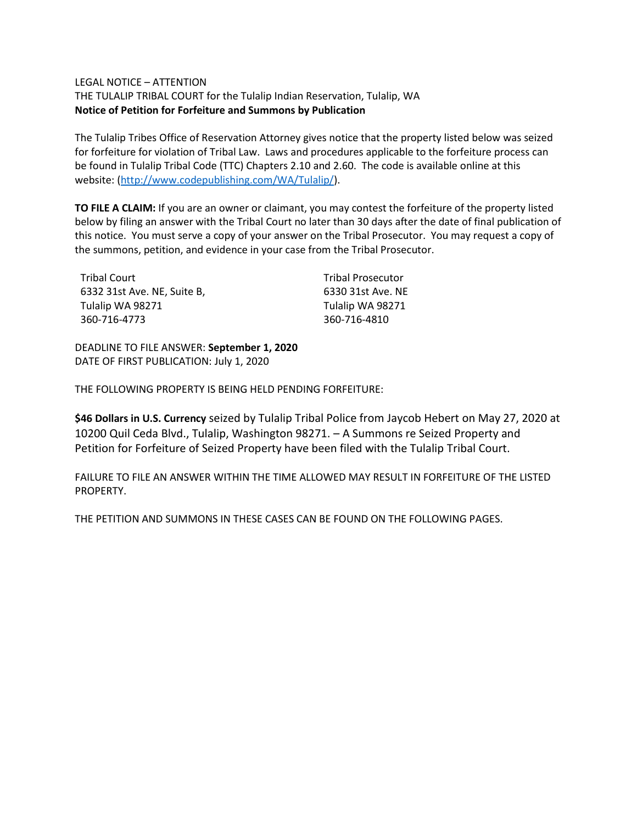## LEGAL NOTICE – ATTENTION

THE TULALIP TRIBAL COURT for the Tulalip Indian Reservation, Tulalip, WA **Notice of Petition for Forfeiture and Summons by Publication**

The Tulalip Tribes Office of Reservation Attorney gives notice that the property listed below was seized for forfeiture for violation of Tribal Law. Laws and procedures applicable to the forfeiture process can be found in Tulalip Tribal Code (TTC) Chapters 2.10 and 2.60. The code is available online at this website: [\(http://www.codepublishing.com/WA/Tulalip/\)](http://www.codepublishing.com/WA/Tulalip/).

**TO FILE A CLAIM:** If you are an owner or claimant, you may contest the forfeiture of the property listed below by filing an answer with the Tribal Court no later than 30 days after the date of final publication of this notice. You must serve a copy of your answer on the Tribal Prosecutor. You may request a copy of the summons, petition, and evidence in your case from the Tribal Prosecutor.

| <b>Tribal Court</b>         | <b>Tribal Prosecutor</b> |
|-----------------------------|--------------------------|
| 6332 31st Ave. NE. Suite B. | 6330 31st Ave. NE        |
| Tulalip WA 98271            | Tulalip WA 98271         |
| 360-716-4773                | 360-716-4810             |

DEADLINE TO FILE ANSWER: **September 1, 2020** DATE OF FIRST PUBLICATION: July 1, 2020

THE FOLLOWING PROPERTY IS BEING HELD PENDING FORFEITURE:

**\$46 Dollars in U.S. Currency** seized by Tulalip Tribal Police from Jaycob Hebert on May 27, 2020 at 10200 Quil Ceda Blvd., Tulalip, Washington 98271. – A Summons re Seized Property and Petition for Forfeiture of Seized Property have been filed with the Tulalip Tribal Court.

FAILURE TO FILE AN ANSWER WITHIN THE TIME ALLOWED MAY RESULT IN FORFEITURE OF THE LISTED PROPERTY.

THE PETITION AND SUMMONS IN THESE CASES CAN BE FOUND ON THE FOLLOWING PAGES.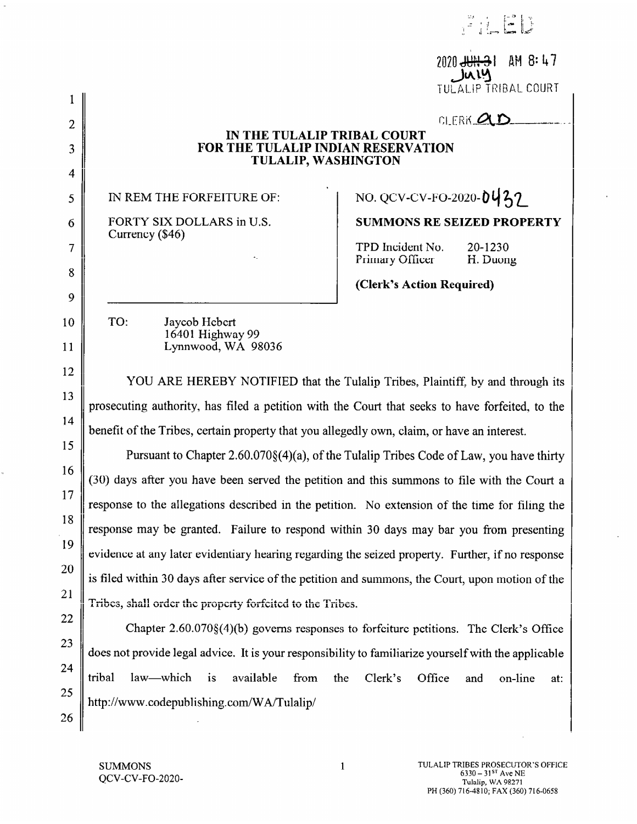|                |                                                                                                      | AM 8:47<br>2020 <del>JUN 3</del> 1<br>. Ju 14<br>TULALIP TRIBAL COURT |  |
|----------------|------------------------------------------------------------------------------------------------------|-----------------------------------------------------------------------|--|
| $\overline{2}$ |                                                                                                      | CLERK <b>QLE</b>                                                      |  |
| 3              | IN THE TULALIP TRIBAL COURT<br>FOR THE TULALIP INDIAN RESERVATION                                    |                                                                       |  |
| 4              | <b>TULALIP, WASHINGTON</b>                                                                           |                                                                       |  |
| 5              | IN REM THE FORFEITURE OF:                                                                            | NO. QCV-CV-FO-2020-0437                                               |  |
| 6              | FORTY SIX DOLLARS in U.S.                                                                            | <b>SUMMONS RE SEIZED PROPERTY</b>                                     |  |
| 7              | Currency (\$46)                                                                                      | TPD Incident No.<br>20-1230                                           |  |
| 8              |                                                                                                      | Primary Officer<br>H. Duong                                           |  |
| 9              |                                                                                                      | (Clerk's Action Required)                                             |  |
| 10             | TO:<br>Jaycob Hebert<br>16401 Highway 99                                                             |                                                                       |  |
| 11             | Lynnwood, WA 98036                                                                                   |                                                                       |  |
| 12             | YOU ARE HEREBY NOTIFIED that the Tulalip Tribes, Plaintiff, by and through its                       |                                                                       |  |
| 13             | prosecuting authority, has filed a petition with the Court that seeks to have forfeited, to the      |                                                                       |  |
| 14             | benefit of the Tribes, certain property that you allegedly own, claim, or have an interest.          |                                                                       |  |
| 15             | Pursuant to Chapter 2.60.070§(4)(a), of the Tulalip Tribes Code of Law, you have thirty              |                                                                       |  |
| 16             | (30) days after you have been served the petition and this summons to file with the Court a          |                                                                       |  |
| 17             | response to the allegations described in the petition. No extension of the time for filing the       |                                                                       |  |
| 18             | response may be granted. Failure to respond within 30 days may bar you from presenting               |                                                                       |  |
| 19             | evidence at any later evidentiary hearing regarding the seized property. Further, if no response     |                                                                       |  |
| 20             | is filed within 30 days after service of the petition and summons, the Court, upon motion of the     |                                                                       |  |
| 21             | Tribes, shall order the property forfeited to the Tribes.                                            |                                                                       |  |
| 22             | Chapter $2.60.070\{(4)}$ (b) governs responses to forfeiture petitions. The Clerk's Office           |                                                                       |  |
| 23             | does not provide legal advice. It is your responsibility to familiarize yourself with the applicable |                                                                       |  |
| 24             | tribal<br>law—which is<br>available<br>from<br>the                                                   | Clerk's<br>Office<br>and<br>on-line<br>at:                            |  |
| 25<br>26       | http://www.codepublishing.com/WA/Tulalip/                                                            |                                                                       |  |

q,

 $\bar{\mathcal{A}}$ 

 $\ddot{\phantom{0}}$ 

 $\begin{array}{c} \begin{array}{c} \mathbb{Z} \\ \mathbb{Z} \end{array} & \begin{array}{c} \mathbb{Z} \\ \mathbb{Z} \end{array} \end{array}$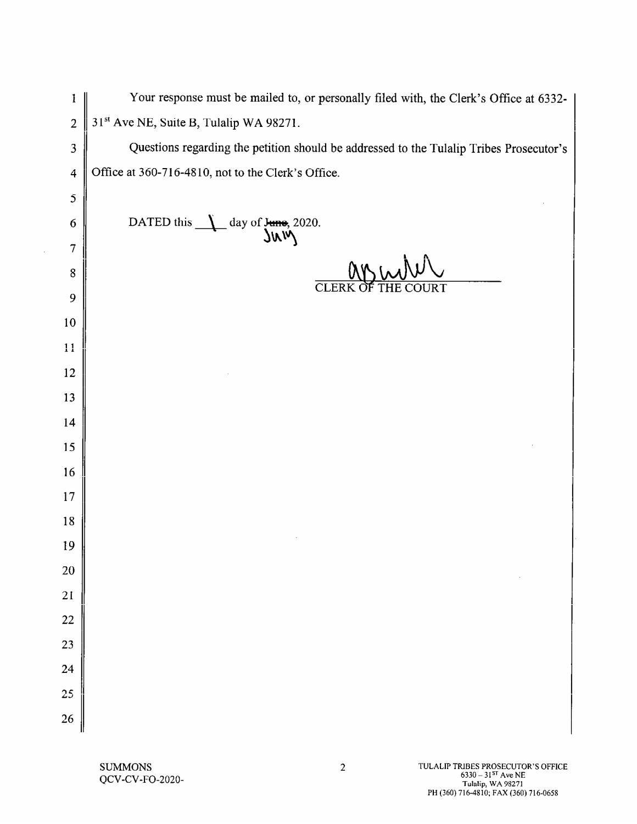| $\mathbf{1}$            | Your response must be mailed to, or personally filed with, the Clerk's Office at 6332-  |
|-------------------------|-----------------------------------------------------------------------------------------|
| $\overline{2}$          | 31 <sup>st</sup> Ave NE, Suite B, Tulalip WA 98271.                                     |
| 3                       | Questions regarding the petition should be addressed to the Tulalip Tribes Prosecutor's |
| $\overline{\mathbf{4}}$ | Office at 360-716-4810, not to the Clerk's Office.                                      |
| 5                       |                                                                                         |
| 6                       | DATED this<br>day of $\frac{\text{June}}{\text{JW}}$ 2020.                              |
| $\overline{7}$          |                                                                                         |
| 8                       | CLERK OF                                                                                |
| 9                       |                                                                                         |
| 10                      |                                                                                         |
| 11                      |                                                                                         |
| 12                      |                                                                                         |
| 13                      |                                                                                         |
| 14                      |                                                                                         |
| 15                      |                                                                                         |
| 16                      |                                                                                         |
| 17                      |                                                                                         |
| 18                      |                                                                                         |
| 19                      |                                                                                         |
| <b>20</b>               |                                                                                         |
| 21                      |                                                                                         |
| 22                      |                                                                                         |
| 23                      |                                                                                         |
| 24                      |                                                                                         |
| 25                      |                                                                                         |
| <b>26</b>               |                                                                                         |
|                         |                                                                                         |

 $\sim$   $\mu$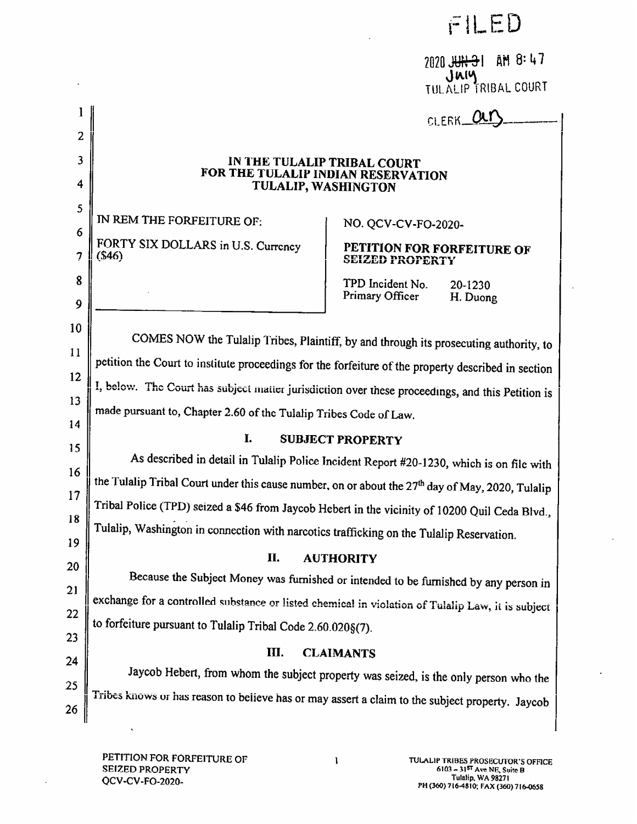FILED

 $\ddot{\phantom{a}}$ 

2020 JUN 31 AM 8:47 **JULALIP TRIBAL COURT** 

|        |                                                                                                                                                                                                                | CLERK_                                                                                   |  |  |
|--------|----------------------------------------------------------------------------------------------------------------------------------------------------------------------------------------------------------------|------------------------------------------------------------------------------------------|--|--|
| 2      |                                                                                                                                                                                                                |                                                                                          |  |  |
| 3<br>4 |                                                                                                                                                                                                                | IN THE TULALIP TRIBAL COURT<br>FOR THE TULALIP INDIAN RESERVATION                        |  |  |
| 5      | TULALIP, WASHINGTON                                                                                                                                                                                            |                                                                                          |  |  |
| 6      | IN REM THE FORFEITURE OF:                                                                                                                                                                                      | NO. QCV-CV-FO-2020-                                                                      |  |  |
| 7      | FORTY SIX DOLLARS in U.S. Currency<br>(\$46)                                                                                                                                                                   | PETITION FOR FORFEITURE OF<br><b>SEIZED PROPERTY</b>                                     |  |  |
| 8<br>9 |                                                                                                                                                                                                                | TPD Incident No.<br>20-1230<br>Primary Officer<br>H. Duong                               |  |  |
|        |                                                                                                                                                                                                                |                                                                                          |  |  |
| 10     | COMES NOW the Tulalip Tribes, Plaintiff, by and through its prosecuting authority, to                                                                                                                          |                                                                                          |  |  |
| 11     | petition the Court to institute proceedings for the forfeiture of the property described in section                                                                                                            |                                                                                          |  |  |
| 12     | I, below. The Court has subject matter jurisdiction over these proceedings, and this Petition is                                                                                                               |                                                                                          |  |  |
| 13     | made pursuant to, Chapter 2.60 of the Tulalip Tribes Code of Law.                                                                                                                                              |                                                                                          |  |  |
| 14     | I.<br><b>SUBJECT PROPERTY</b>                                                                                                                                                                                  |                                                                                          |  |  |
| 15     |                                                                                                                                                                                                                | As described in detail in Tulalip Police Incident Report #20-1230, which is on file with |  |  |
| 16     | the Tulalip Tribal Court under this cause number, on or about the 27 <sup>th</sup> day of May, 2020, Tulalip<br>Tribal Police (TPD) seized a \$46 from Jaycob Hebert in the vicinity of 10200 Quil Ceda Blvd., |                                                                                          |  |  |
| 17     |                                                                                                                                                                                                                |                                                                                          |  |  |
| 18     |                                                                                                                                                                                                                | Tulalip, Washington in connection with narcotics trafficking on the Tulalip Reservation. |  |  |
| 19     | П.                                                                                                                                                                                                             | <b>AUTHORITY</b>                                                                         |  |  |
| 20     |                                                                                                                                                                                                                | Because the Subject Money was furnished or intended to be furnished by any person in     |  |  |
| 21     | exchange for a controlled substance or listed chemical in violation of Tulalip Law, it is subject                                                                                                              |                                                                                          |  |  |
| 22     | to forfeiture pursuant to Tulalip Tribal Code 2.60.020§(7).                                                                                                                                                    |                                                                                          |  |  |
| 23     | Ш.                                                                                                                                                                                                             |                                                                                          |  |  |
| 24     |                                                                                                                                                                                                                | <b>CLAIMANTS</b>                                                                         |  |  |
| 25     |                                                                                                                                                                                                                | Jaycob Hebert, from whom the subject property was seized, is the only person who the     |  |  |
| 26     | Tribes knows or has reason to believe has or may assert a claim to the subject property. Jaycob                                                                                                                |                                                                                          |  |  |
|        |                                                                                                                                                                                                                |                                                                                          |  |  |

 $\ddot{\phantom{a}}$ 

 $\mathbf{l}$